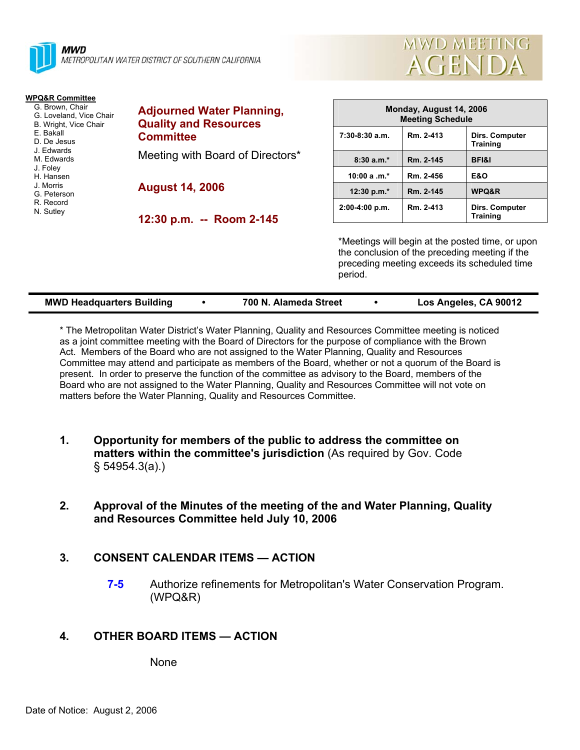



| <b>WPQ&amp;R Committee</b><br>G. Brown, Chair<br>G. Loveland, Vice Chair<br>B. Wright, Vice Chair<br>E. Bakall<br>D. De Jesus<br>J. Edwards<br>M. Edwards<br>J. Foley<br>H. Hansen<br>J. Morris<br>G. Peterson<br>R. Record<br>N. Sutley | <b>Adjourned Water Planning,</b><br><b>Quality and Resources</b><br><b>Committee</b><br>Meeting with Board of Directors* | Monday, August 14, 2006<br><b>Meeting Schedule</b> |                                                                                                                                                               |                                   |  |
|------------------------------------------------------------------------------------------------------------------------------------------------------------------------------------------------------------------------------------------|--------------------------------------------------------------------------------------------------------------------------|----------------------------------------------------|---------------------------------------------------------------------------------------------------------------------------------------------------------------|-----------------------------------|--|
|                                                                                                                                                                                                                                          |                                                                                                                          | $7:30-8:30$ a.m.                                   | Rm. 2-413                                                                                                                                                     | Dirs. Computer<br><b>Training</b> |  |
|                                                                                                                                                                                                                                          |                                                                                                                          | $8:30a.m.*$                                        | Rm. 2-145                                                                                                                                                     | BFI&I                             |  |
|                                                                                                                                                                                                                                          | <b>August 14, 2006</b>                                                                                                   | 10:00 a $.m.*$                                     | Rm. 2-456                                                                                                                                                     | <b>E&amp;O</b>                    |  |
|                                                                                                                                                                                                                                          |                                                                                                                          | 12:30 p.m.*                                        | Rm. 2-145                                                                                                                                                     | WPQ&R                             |  |
|                                                                                                                                                                                                                                          | 12:30 p.m. -- Room 2-145                                                                                                 | $2:00-4:00 p.m.$                                   | Rm. 2-413                                                                                                                                                     | Dirs. Computer<br><b>Training</b> |  |
|                                                                                                                                                                                                                                          |                                                                                                                          |                                                    | *Meetings will begin at the posted time, or upon<br>the conclusion of the preceding meeting if the<br>preceding meeting exceeds its scheduled time<br>period. |                                   |  |

| <b>MWD Headquarters Building</b> | 700 N. Alameda Street | Los Angeles, CA 90012 |
|----------------------------------|-----------------------|-----------------------|

\* The Metropolitan Water District's Water Planning, Quality and Resources Committee meeting is noticed as a joint committee meeting with the Board of Directors for the purpose of compliance with the Brown Act. Members of the Board who are not assigned to the Water Planning, Quality and Resources Committee may attend and participate as members of the Board, whether or not a quorum of the Board is present. In order to preserve the function of the committee as advisory to the Board, members of the Board who are not assigned to the Water Planning, Quality and Resources Committee will not vote on matters before the Water Planning, Quality and Resources Committee.

- **1. Opportunity for members of the public to address the committee on matters within the committee's jurisdiction** (As required by Gov. Code § 54954.3(a).)
- **2. Approval of the Minutes of the meeting of the and Water Planning, Quality and Resources Committee held July 10, 2006**

# **3. CONSENT CALENDAR ITEMS — ACTION**

**7-5** Authorize refinements for Metropolitan's Water Conservation Program. (WPQ&R)

# **4. OTHER BOARD ITEMS — ACTION**

None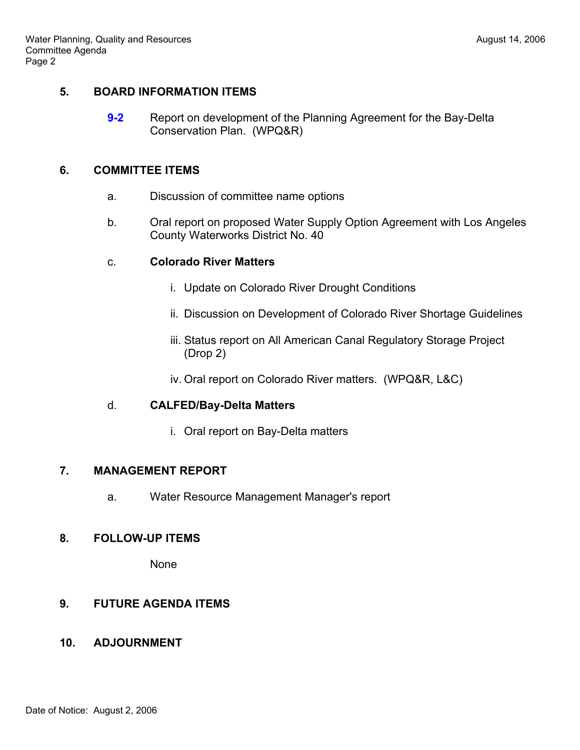#### **5. BOARD INFORMATION ITEMS**

**9-2** • Report on development of the Planning Agreement for the Bay-Delta Conservation Plan. (WPQ&R)

#### **6. COMMITTEE ITEMS**

- a. Discussion of committee name options
- b. Oral report on proposed Water Supply Option Agreement with Los Angeles County Waterworks District No. 40

# c. **Colorado River Matters**

- i. Update on Colorado River Drought Conditions
- ii. Discussion on Development of Colorado River Shortage Guidelines
- iii. Status report on All American Canal Regulatory Storage Project (Drop 2)
- iv. Oral report on Colorado River matters. (WPQ&R, L&C)

# d. **CALFED/Bay-Delta Matters**

i. Oral report on Bay-Delta matters

#### **7. MANAGEMENT REPORT**

a. Water Resource Management Manager's report

# **8. FOLLOW-UP ITEMS**

**None** 

# **9. FUTURE AGENDA ITEMS**

# **10. ADJOURNMENT**